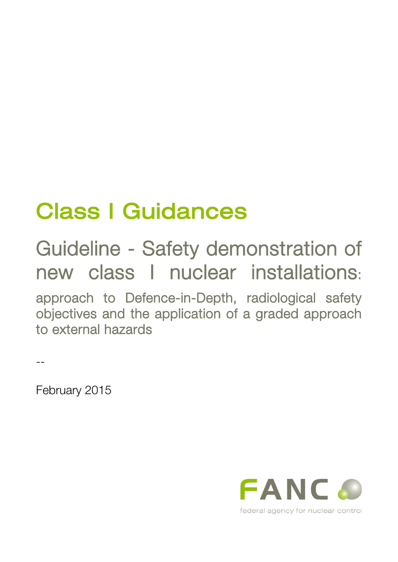# Class I Guidances

## Guideline - Safety demonstration of new class I nuclear installations:

approach to Defence-in-Depth, radiological safety objectives and the application of a graded approach to external hazards

--

February 2015

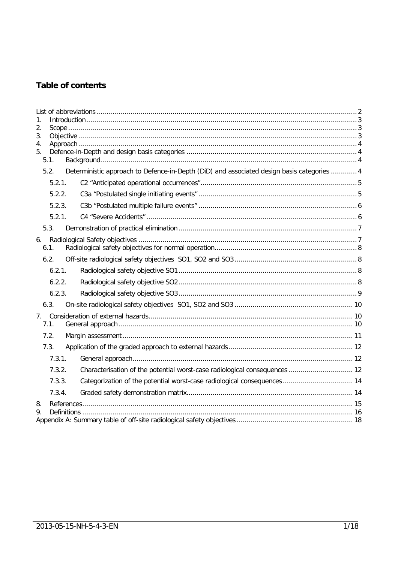## Table of contents

| 1.<br>2.<br>3.<br>4.<br>5 <sub>1</sub> | 5.1.             |  |                                                                                            |  |
|----------------------------------------|------------------|--|--------------------------------------------------------------------------------------------|--|
|                                        | 5.2.             |  | Deterministic approach to Defence-in-Depth (DiD) and associated design basis categories  4 |  |
|                                        | 5.2.1.           |  |                                                                                            |  |
|                                        | 5.2.2.           |  |                                                                                            |  |
|                                        | 5.2.3.           |  |                                                                                            |  |
|                                        | 5.2.1.           |  |                                                                                            |  |
|                                        | 5.3.             |  |                                                                                            |  |
| 6.                                     | 6.1.             |  |                                                                                            |  |
|                                        | 6.2.             |  |                                                                                            |  |
|                                        | 6.2.1.           |  |                                                                                            |  |
|                                        | 6.2.2.           |  |                                                                                            |  |
|                                        | 6.2.3.           |  |                                                                                            |  |
|                                        | 6.3.             |  |                                                                                            |  |
| 7 <sub>1</sub>                         | 7.1.             |  |                                                                                            |  |
|                                        | 7.2.             |  |                                                                                            |  |
|                                        | 7.3.             |  |                                                                                            |  |
|                                        | 7.3.1.           |  |                                                                                            |  |
|                                        | 7.3.2.<br>7.3.3. |  | Characterisation of the potential worst-case radiological consequences  12                 |  |
|                                        |                  |  | Categorization of the potential worst-case radiological consequences 14                    |  |
|                                        | 7.3.4.           |  |                                                                                            |  |
| 8.<br>9.                               |                  |  |                                                                                            |  |
|                                        |                  |  |                                                                                            |  |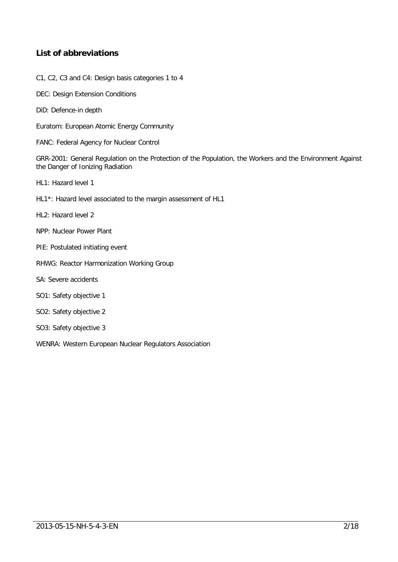## <span id="page-2-0"></span>**List of abbreviations**

- C1, C2, C3 and C4: Design basis categories 1 to 4
- DEC: Design Extension Conditions
- DiD: Defence-in depth
- Euratom: European Atomic Energy Community
- FANC: Federal Agency for Nuclear Control

GRR-2001: General Regulation on the Protection of the Population, the Workers and the Environment Against the Danger of Ionizing Radiation

- HL1: Hazard level 1
- HL1\*: Hazard level associated to the margin assessment of HL1
- HL2: Hazard level 2
- NPP: Nuclear Power Plant
- PIE: Postulated initiating event
- RHWG: Reactor Harmonization Working Group
- SA: Severe accidents
- SO1: Safety objective 1
- SO2: Safety objective 2
- SO3: Safety objective 3
- WENRA: Western European Nuclear Regulators Association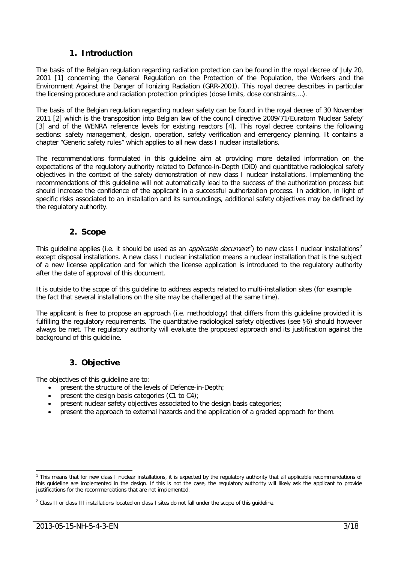## **1. Introduction**

<span id="page-3-0"></span>The basis of the Belgian regulation regarding radiation protection can be found in the royal decree of July 20, 2001 [\[1\]](#page-15-1) concerning the General Regulation on the Protection of the Population, the Workers and the Environment Against the Danger of Ionizing Radiation (GRR-2001). This royal decree describes in particular the licensing procedure and radiation protection principles (dose limits, dose constraints,…).

The basis of the Belgian regulation regarding nuclear safety can be found in the royal decree of 30 November 2011 [\[2\]](#page-15-2) which is the transposition into Belgian law of the council directive 2009/71/Euratom 'Nuclear Safety' [\[3\]](#page-15-3) and of the WENRA reference levels for existing reactors [\[4\].](#page-15-4) This royal decree contains the following sections: safety management, design, operation, safety verification and emergency planning. It contains a chapter "Generic safety rules" which applies to all new class I nuclear installations.

The recommendations formulated in this guideline aim at providing more detailed information on the expectations of the regulatory authority related to Defence-in-Depth (DiD) and quantitative radiological safety objectives in the context of the safety demonstration of new class I nuclear installations. Implementing the recommendations of this guideline will not automatically lead to the success of the authorization process but should increase the confidence of the applicant in a successful authorization process. In addition, in light of specific risks associated to an installation and its surroundings, additional safety objectives may be defined by the regulatory authority.

## **2. Scope**

<span id="page-3-1"></span>This quideline applies (i.e. it should be used as an *applicable document<sup>1</sup>*) to new class I nuclear installations<sup>[2](#page-3-4)</sup> except disposal installations. A new class I nuclear installation means a nuclear installation that is the subject of a new license application and for which the license application is introduced to the regulatory authority after the date of approval of this document.

It is outside to the scope of this guideline to address aspects related to multi-installation sites (for example the fact that several installations on the site may be challenged at the same time).

The applicant is free to propose an approach (i.e. methodology) that differs from this guideline provided it is fulfilling the regulatory requirements. The quantitative radiological safety objectives (see [§6\)](#page-7-1) should however always be met. The regulatory authority will evaluate the proposed approach and its justification against the background of this guideline.

## **3. Objective**

<span id="page-3-2"></span>The objectives of this guideline are to:

- present the structure of the levels of Defence-in-Depth;
- present the design basis categories (C1 to C4);
- present nuclear safety objectives associated to the design basis categories;
- present the approach to external hazards and the application of a graded approach for them.

<span id="page-3-3"></span><sup>&</sup>lt;sup>1</sup> This means that for new class I nuclear installations, it is expected by the regulatory authority that all applicable recommendations of this guideline are implemented in the design. If this is not the case, the regulatory authority will likely ask the applicant to provide justifications for the recommendations that are not implemented.

<span id="page-3-4"></span><sup>&</sup>lt;sup>2</sup> Class II or class III installations located on class I sites do not fall under the scope of this guideline.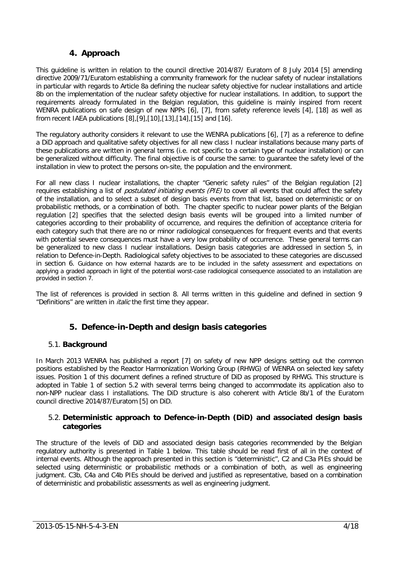## **4. Approach**

<span id="page-4-0"></span>This guideline is written in relation to the council directive 2014/87/ Euratom of 8 July 2014 [\[5\]](#page-15-5) amending directive 2009/71/Euratom establishing a community framework for the nuclear safety of nuclear installations in particular with regards to Article 8a defining the nuclear safety objective for nuclear installations and article 8b on the implementation of the nuclear safety objective for nuclear installations. In addition, to support the requirements already formulated in the Belgian regulation, this guideline is mainly inspired from recent WENRA publications on safe design of new NPPs [\[6\],](#page-15-6) [\[7\],](#page-15-7) from safety reference levels [\[4\],](#page-15-4) [\[18\]](#page-15-8) as well as from recent IAEA publications [\[8\],](#page-15-9)[\[9\],](#page-15-10)[\[10\]](#page-15-11)[,\[13\],](#page-15-12)[\[14\],](#page-15-13)[\[15\]](#page-15-14) and [\[16\].](#page-15-15)

The regulatory authority considers it relevant to use the WENRA publications [\[6\],](#page-15-6) [\[7\]](#page-15-7) as a reference to define a DiD approach and qualitative safety objectives for all new class I nuclear installations because many parts of these publications are written in general terms (i.e. not specific to a certain type of nuclear installation) or can be generalized without difficulty. The final objective is of course the same: to guarantee the safety level of the installation in view to protect the persons on-site, the population and the environment.

For all new class I nuclear installations, the chapter "Generic safety rules" of the Belgian regulation [\[2\]](#page-15-2) requires establishing a list of *postulated initiating events (PIE)* to cover all events that could affect the safety of the installation, and to select a subset of design basis events from that list, based on deterministic or on probabilistic methods, or a combination of both. The chapter specific to nuclear power plants of the Belgian regulation [\[2\]](#page-15-2) specifies that the selected design basis events will be grouped into a limited number of categories according to their probability of occurrence, and requires the definition of acceptance criteria for each category such that there are no or minor radiological consequences for frequent events and that events with potential severe consequences must have a very low probability of occurrence. These general terms can be generalized to new class I nuclear installations. Design basis categories are addressed in section [5,](#page-4-1) in relation to Defence-in-Depth. Radiological safety objectives to be associated to these categories are discussed in section [6.](#page-7-1) Guidance on how external hazards are to be included in the safety assessment and expectations on applying a graded approach in light of the potential worst-case radiological consequence associated to an installation are provided in section 7.

The list of references is provided in section 8. All terms written in this guideline and defined in section 9 "Definitions" are written in *italic* the first time they appear.

## **5. Defence-in-Depth and design basis categories**

#### <span id="page-4-2"></span><span id="page-4-1"></span>5.1. **Background**

In March 2013 WENRA has published a report [\[7\]](#page-15-7) on safety of new NPP designs setting out the common positions established by the Reactor Harmonization Working Group (RHWG) of WENRA on selected key safety issues. Position 1 of this document defines a refined structure of DiD as proposed by RHWG. This structure is adopted in Table 1 of section [5.2](#page-4-3) with several terms being changed to accommodate its application also to non-NPP nuclear class I installations. The DiD structure is also coherent with Article 8b/1 of the Euratom council directive 2014/87/Euratom [5] on DiD.

#### <span id="page-4-3"></span>5.2. **Deterministic approach to Defence-in-Depth (DiD) and associated design basis categories**

The structure of the levels of DiD and associated design basis categories recommended by the Belgian regulatory authority is presented in Table 1 below. This table should be read first of all in the context of internal events. Although the approach presented in this section is "deterministic", C2 and C3a PIEs should be selected using deterministic or probabilistic methods or a combination of both, as well as engineering judgment. C3b, C4a and C4b PIEs should be derived and justified as representative, based on a combination of deterministic and probabilistic assessments as well as engineering judgment.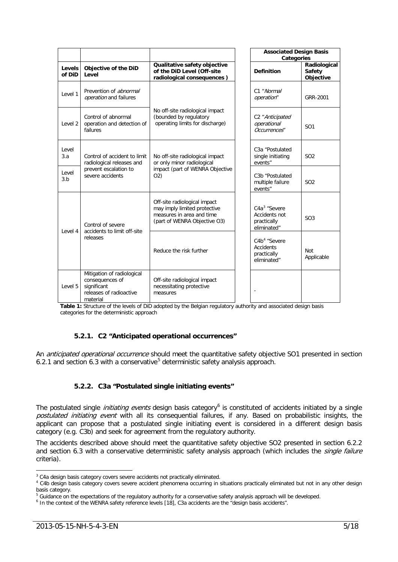|                    |                                                                                                     |                                                                                                                           |  | <b>Associated Design Basis</b><br><b>Categories</b>                        |                                            |  |
|--------------------|-----------------------------------------------------------------------------------------------------|---------------------------------------------------------------------------------------------------------------------------|--|----------------------------------------------------------------------------|--------------------------------------------|--|
| Levels<br>of DiD   | Objective of the DiD<br>Level                                                                       | Qualitative safety objective<br>of the DiD Level (Off-site<br>radiological consequences)                                  |  | <b>Definition</b>                                                          | Radiological<br><b>Safety</b><br>Objective |  |
| Level 1            | Prevention of abnormal<br>operation and failures                                                    |                                                                                                                           |  | C1 "Normal<br>operation"                                                   | GRR-2001                                   |  |
| Level <sub>2</sub> | Control of abnormal<br>operation and detection of<br>failures                                       | No off-site radiological impact<br>(bounded by regulatory<br>operating limits for discharge)                              |  | C <sub>2</sub> "Anticipated<br>operational<br>Occurrences"                 | SO1                                        |  |
| Level<br>3.a       | Control of accident to limit<br>radiological releases and                                           | No off-site radiological impact<br>or only minor radiological<br>impact (part of WENRA Objective<br>O(2)                  |  | C <sub>3</sub> a "Postulated<br>single initiating<br>events"               | SO <sub>2</sub>                            |  |
| Level<br>3.b       | prevent escalation to<br>severe accidents                                                           |                                                                                                                           |  | C3b "Postulated<br>multiple failure<br>events"                             | SO <sub>2</sub>                            |  |
| Level 4            | Control of severe<br>accidents to limit off-site                                                    | Off-site radiological impact<br>may imply limited protective<br>measures in area and time<br>(part of WENRA Objective O3) |  | C4a <sup>3</sup> "Severe<br>Accidents not<br>practically<br>eliminated"    | SO <sub>3</sub>                            |  |
|                    | releases                                                                                            | Reduce the risk further                                                                                                   |  | C4b <sup>4</sup> "Severe<br><b>Accidents</b><br>practically<br>eliminated" | Not<br>Applicable                          |  |
| Level 5            | Mitigation of radiological<br>consequences of<br>significant<br>releases of radioactive<br>material | Off-site radiological impact<br>necessitating protective<br>measures                                                      |  |                                                                            |                                            |  |

**Table 1:** Structure of the levels of DiD adopted by the Belgian regulatory authority and associated design basis categories for the deterministic approach

#### **5.2.1. C2 "Anticipated operational occurrences"**

<span id="page-5-1"></span><span id="page-5-0"></span>An *anticipated operational occurrence* should meet the quantitative safety objective SO1 presented in section [6.2.1](#page-8-2) and section [6.3](#page-10-0) with a conservative<sup>[5](#page-5-4)</sup> deterministic safety analysis approach.

#### **5.2.2. C3a "Postulated single initiating events"**

The postulated single *initiating events* design basis category<sup>[6](#page-5-5)</sup> is constituted of accidents initiated by a single postulated initiating event with all its consequential failures, if any. Based on probabilistic insights, the applicant can propose that a postulated single initiating event is considered in a different design basis category (e.g. C3b) and seek for agreement from the regulatory authority.

The accidents described above should meet the quantitative safety objective SO2 presented in section [6.2.2](#page-8-3) and section [6.3](#page-10-0) with a conservative deterministic safety analysis approach (which includes the *single failure* criteria).

<span id="page-5-2"></span><sup>&</sup>lt;sup>3</sup> C4a design basis category covers severe accidents not practically eliminated.

<span id="page-5-3"></span><sup>&</sup>lt;sup>4</sup> C4b design basis category covers severe accident phenomena occurring in situations practically eliminated but not in any other design basis category.

<span id="page-5-4"></span><sup>&</sup>lt;sup>5</sup> Guidance on the expectations of the regulatory authority for a conservative safety analysis approach will be developed.

<span id="page-5-5"></span><sup>&</sup>lt;sup>6</sup> In the context of the WENRA safety reference level[s \[18\],](#page-15-8) C3a accidents are the "design basis accidents".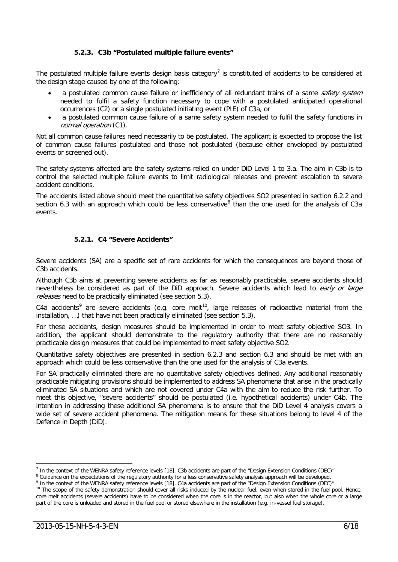#### **5.2.3. C3b "Postulated multiple failure events"**

<span id="page-6-0"></span>The postulated multiple failure events design basis category<sup>[7](#page-6-2)</sup> is constituted of accidents to be considered at the design stage caused by one of the following:

- a postulated common cause failure or inefficiency of all redundant trains of a same *safety system* needed to fulfil a safety function necessary to cope with a postulated anticipated operational occurrences (C2) or a single postulated initiating event (PIE) of C3a, or
- a postulated common cause failure of a same safety system needed to fulfil the safety functions in normal operation (C1).

Not all common cause failures need necessarily to be postulated. The applicant is expected to propose the list of common cause failures postulated and those not postulated (because either enveloped by postulated events or screened out).

The safety systems affected are the safety systems relied on under DiD Level 1 to 3.a. The aim in C3b is to control the selected multiple failure events to limit radiological releases and prevent escalation to severe accident conditions.

The accidents listed above should meet the quantitative safety objectives SO2 presented in section [6.2.2](#page-8-3) and section [6.3](#page-10-0) with an approach which could be less conservative  $8$  than the one used for the analysis of C3a events.

#### **5.2.1. C4 "Severe Accidents"**

<span id="page-6-1"></span>Severe accidents (SA) are a specific set of rare accidents for which the consequences are beyond those of C3b accidents.

Although C3b aims at preventing severe accidents as far as reasonably practicable, severe accidents should nevertheless be considered as part of the DiD approach. Severe accidents which lead to early or large releases need to be practically eliminated (see section [5.3\)](#page-7-0).

C4a accidents<sup>[9](#page-6-4)</sup> are severe accidents (e.g. core melt<sup>10</sup>, large releases of radioactive material from the installation, …) that have not been practically eliminated (see section [5.3\)](#page-7-0).

For these accidents, design measures should be implemented in order to meet safety objective SO3. In addition, the applicant should demonstrate to the regulatory authority that there are no reasonably practicable design measures that could be implemented to meet safety objective SO2.

Quantitative safety objectives are presented in section [6.2.3](#page-9-0) and section [6.3](#page-10-0) and should be met with an approach which could be less conservative than the one used for the analysis of C3a events.

For SA practically eliminated there are no quantitative safety objectives defined. Any additional reasonably practicable mitigating provisions should be implemented to address SA phenomena that arise in the practically eliminated SA situations and which are not covered under C4a with the aim to reduce the risk further. To meet this objective, "severe accidents" should be postulated (i.e. hypothetical accidents) under C4b. The intention in addressing these additional SA phenomena is to ensure that the DiD Level 4 analysis covers a wide set of severe accident phenomena. The mitigation means for these situations belong to level 4 of the Defence in Depth (DiD).

<span id="page-6-2"></span> $<sup>7</sup>$  In the context of the WENRA safety reference level[s \[18\],](#page-15-8) C3b accidents are part of the "Design Extension Conditions (DEC)".</sup>

<span id="page-6-3"></span><sup>&</sup>lt;sup>8</sup> Guidance on the expectations of the regulatory authority for a less conservative safety analysis approach will be developed.

<span id="page-6-4"></span>In the context of the WENRA safety reference level[s \[18\],](#page-15-8) C4a accidents are part of the "Design Extension Conditions (DEC)"

<span id="page-6-5"></span><sup>&</sup>lt;sup>10</sup> The scope of the safety demonstration should cover all risks induced by the nuclear fuel, even when stored in the fuel pool. Hence, core melt accidents (severe accidents) have to be considered when the core is in the reactor, but also when the whole core or a large part of the core is unloaded and stored in the fuel pool or stored elsewhere in the installation (e.g. in-vessel fuel storage).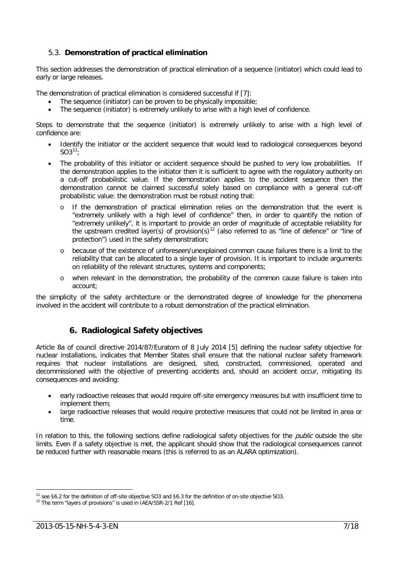#### <span id="page-7-0"></span>5.3. **Demonstration of practical elimination**

This section addresses the demonstration of practical elimination of a sequence (initiator) which could lead to early or large releases.

The demonstration of practical elimination is considered successful if [\[7\]:](#page-15-7)

- The sequence (initiator) can be proven to be physically impossible;
- The sequence (initiator) is extremely unlikely to arise with a high level of confidence.

Steps to demonstrate that the sequence (initiator) is extremely unlikely to arise with a high level of confidence are:

- Identify the initiator or the accident sequence that would lead to radiological consequences beyond  $SO3^{11}$
- The probability of this initiator or accident sequence should be pushed to very low probabilities. If the demonstration applies to the initiator then it is sufficient to agree with the regulatory authority on a cut-off probabilistic value. If the demonstration applies to the accident sequence then the demonstration cannot be claimed successful solely based on compliance with a general cut-off probabilistic value: the demonstration must be robust noting that:
	- o If the demonstration of practical elimination relies on the demonstration that the event is "extremely unlikely with a high level of confidence" then, in order to quantify the notion of "extremely unlikely", it is important to provide an order of magnitude of acceptable reliability for the upstream credited layer(s) of provision(s)<sup>[12](#page-7-3)</sup> (also referred to as "line of defence" or "line of protection") used in the safety demonstration;
	- o because of the existence of unforeseen/unexplained common cause failures there is a limit to the reliability that can be allocated to a single layer of provision. It is important to include arguments on reliability of the relevant structures, systems and components;
	- o when relevant in the demonstration, the probability of the common cause failure is taken into account;

the simplicity of the safety architecture or the demonstrated degree of knowledge for the phenomena involved in the accident will contribute to a robust demonstration of the practical elimination.

#### **6. Radiological Safety objectives**

<span id="page-7-1"></span>Article 8a of council directive 2014/87/Euratom of 8 July 2014 [\[5\]](#page-15-5) defining the nuclear safety objective for nuclear installations, indicates that Member States shall ensure that the national nuclear safety framework requires that nuclear installations are designed, sited, constructed, commissioned, operated and decommissioned with the objective of preventing accidents and, should an accident occur, mitigating its consequences and avoiding:

- early radioactive releases that would require off-site emergency measures but with insufficient time to implement them;
- large radioactive releases that would require protective measures that could not be limited in area or time.

In relation to this, the following sections define radiological safety objectives for the *public* outside the site limits. Even if a safety objective is met, the applicant should show that the radiological consequences cannot be reduced further with reasonable means (this is referred to as an ALARA optimization).

<span id="page-7-2"></span><sup>&</sup>lt;sup>11</sup> see §6.2 for the definition of off-site objective SO3 and §6.3 for the definition of on-site objective SO3.

<span id="page-7-3"></span><sup>&</sup>lt;sup>12</sup> The term "layers of provisions" is used in IAEA/SSR-2/1 Ref [\[16\].](#page-15-15)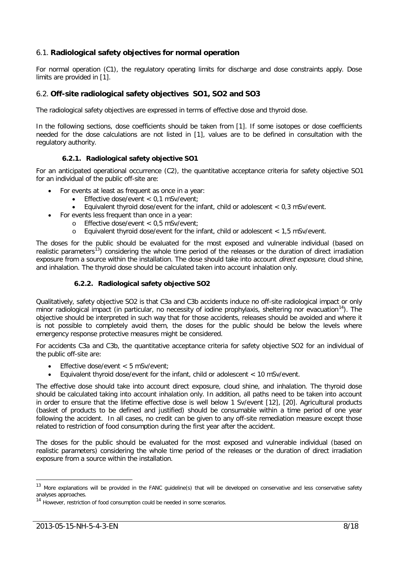#### <span id="page-8-0"></span>6.1. **Radiological safety objectives for normal operation**

For normal operation (C1), the regulatory operating limits for discharge and dose constraints apply. Dose limits are provided in [\[1\].](#page-15-1)

#### <span id="page-8-1"></span>6.2. **Off-site radiological safety objectives SO1, SO2 and SO3**

The radiological safety objectives are expressed in terms of effective dose and thyroid dose.

In the following sections, dose coefficients should be taken from [\[1\].](#page-15-1) If some isotopes or dose coefficients needed for the dose calculations are not listed in [\[1\],](#page-15-1) values are to be defined in consultation with the regulatory authority.

#### **6.2.1. Radiological safety objective SO1**

<span id="page-8-2"></span>For an anticipated operational occurrence (C2), the quantitative acceptance criteria for safety objective SO1 for an individual of the public off-site are:

- For events at least as frequent as once in a year:
	- Effective dose/event < 0,1 mSv/event;
	- Equivalent thyroid dose/event for the infant, child or adolescent  $< 0.3$  mSv/event.
- For events less frequent than once in a year:
	- o Effective dose/event < 0,5 mSv/event;
	- o Equivalent thyroid dose/event for the infant, child or adolescent < 1,5 mSv/event.

The doses for the public should be evaluated for the most exposed and vulnerable individual (based on realistic parameters<sup>13</sup>) considering the whole time period of the releases or the duration of direct irradiation exposure from a source within the installation. The dose should take into account *direct exposure*, cloud shine, and inhalation. The thyroid dose should be calculated taken into account inhalation only.

#### **6.2.2. Radiological safety objective SO2**

<span id="page-8-3"></span>Qualitatively, safety objective SO2 is that C3a and C3b accidents induce no off-site radiological impact or only minor radiological impact (in particular, no necessity of iodine prophylaxis, sheltering nor evacuation<sup>14</sup>). The objective should be interpreted in such way that for those accidents, releases should be avoided and where it is not possible to completely avoid them, the doses for the public should be below the levels where emergency response protective measures might be considered.

For accidents C3a and C3b, the quantitative acceptance criteria for safety objective SO2 for an individual of the public off-site are:

- Effective dose/event < 5 mSv/event;
- Equivalent thyroid dose/event for the infant, child or adolescent < 10 mSv/event.

The effective dose should take into account direct exposure, cloud shine, and inhalation. The thyroid dose should be calculated taking into account inhalation only. In addition, all paths need to be taken into account in order to ensure that the lifetime effective dose is well below 1 Sv/event [\[12\],](#page-15-16) [\[20\].](#page-15-17) Agricultural products (basket of products to be defined and justified) should be consumable within a time period of one year following the accident. In all cases, no credit can be given to any off-site remediation measure except those related to restriction of food consumption during the first year after the accident.

The doses for the public should be evaluated for the most exposed and vulnerable individual (based on realistic parameters) considering the whole time period of the releases or the duration of direct irradiation exposure from a source within the installation.

<span id="page-8-4"></span><sup>&</sup>lt;sup>13</sup> More explanations will be provided in the FANC guideline(s) that will be developed on conservative and less conservative safety analyses approaches.

<span id="page-8-5"></span><sup>&</sup>lt;sup>14</sup> However, restriction of food consumption could be needed in some scenarios.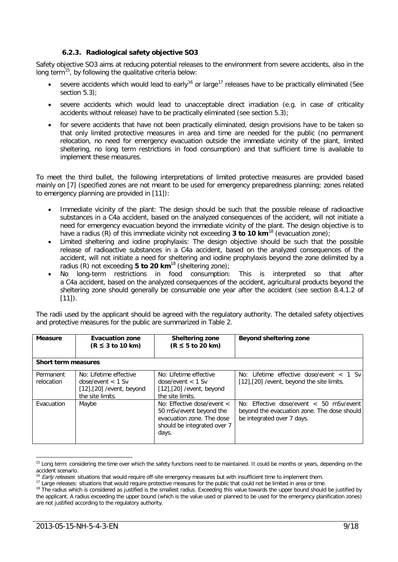#### **6.2.3. Radiological safety objective SO3**

<span id="page-9-0"></span>Safety objective SO3 aims at reducing potential releases to the environment from severe accidents, also in the long term[15](#page-9-2), by following the qualitative criteria below:

- severe accidents which would lead to early<sup>[16](#page-9-3)</sup> or large<sup>[17](#page-9-4)</sup> releases have to be practically eliminated (See section [5.3\)](#page-7-0):
- severe accidents which would lead to unacceptable direct irradiation (e.g. in case of criticality accidents without release) have to be practically eliminated (see section [5.3\)](#page-7-0);
- for severe accidents that have not been practically eliminated, design provisions have to be taken so that only limited protective measures in area and time are needed for the public (no permanent relocation, no need for emergency evacuation outside the immediate vicinity of the plant, limited sheltering, no long term restrictions in food consumption) and that sufficient time is available to implement these measures.

To meet the third bullet, the following interpretations of limited protective measures are provided based mainly on [\[7\]](#page-15-7) (specified zones are not meant to be used for emergency preparedness planning; zones related to emergency planning are provided in [\[11\]\)](#page-15-18):

- Immediate vicinity of the plant: The design should be such that the possible release of radioactive substances in a C4a accident, based on the analyzed consequences of the accident, will not initiate a need for emergency evacuation beyond the immediate vicinity of the plant. The design objective is to have a radius (R) of this immediate vicinity not exceeding **3 to 10 km**<sup>[18](#page-9-5)</sup> (evacuation zone);
- <span id="page-9-1"></span>• Limited sheltering and iodine prophylaxis: The design objective should be such that the possible release of radioactive substances in a C4a accident, based on the analyzed consequences of the accident, will not initiate a need for sheltering and iodine prophylaxis beyond the zone delimited by a radius (R) not exceeding **5 to 20 km**[18](#page-9-1) (sheltering zone);
- No long-term restrictions in food consumption: This is interpreted so that after a C4a accident, based on the analyzed consequences of the accident, agricultural products beyond the sheltering zone should generally be consumable one year after the accident (see section 8.4.1.2 of  $[11]$ ).

The radii used by the applicant should be agreed with the regulatory authority. The detailed safety objectives and protective measures for the public are summarized in Table 2.

| <b>Measure</b>             | <b>Evacuation zone</b><br>$(R \leq 3$ to 10 km)                                                     | Sheltering zone<br>$(R \leq 5$ to 20 km)                                                                                       | Beyond sheltering zone                                                                                                   |  |  |
|----------------------------|-----------------------------------------------------------------------------------------------------|--------------------------------------------------------------------------------------------------------------------------------|--------------------------------------------------------------------------------------------------------------------------|--|--|
| <b>Short term measures</b> |                                                                                                     |                                                                                                                                |                                                                                                                          |  |  |
| Permanent<br>relocation    | No: Lifetime effective<br>$dose/event < 1$ Sv<br>$[12]$ , $[20]$ /event, beyond<br>the site limits. | No: Lifetime effective<br>$dose/event < 1$ Sv<br>$[12]$ , $[20]$ /event, beyond<br>the site limits.                            | No: Lifetime effective dose/event $<$ 1 Sv<br>[12], [20] / event, beyond the site limits.                                |  |  |
| Evacuation                 | Maybe                                                                                               | No: Effective dose/event $\lt$<br>50 mSv/event beyond the<br>evacuation zone. The dose<br>should be integrated over 7<br>days. | No: Effective dose/event $\lt$ 50 mSv/event<br>beyond the evacuation zone. The dose should<br>be integrated over 7 days. |  |  |

<span id="page-9-2"></span><sup>&</sup>lt;sup>15</sup> Long term: considering the time over which the safety functions need to be maintained. It could be months or years, depending on the accident scenario.

<sup>16</sup> Early releases: situations that would require off-site emergency measures but with insufficient time to implement them.

<span id="page-9-3"></span><sup>&</sup>lt;sup>17</sup> Large releases: situations that would require protective measures for the public that could not be limited in area or time.

<span id="page-9-5"></span><span id="page-9-4"></span><sup>&</sup>lt;sup>18</sup> The radius which is considered as justified is the smallest radius. Exceeding this value towards the upper bound should be justified by the applicant. A radius exceeding the upper bound (which is the value used or planned to be used for the emergency planification zones) are not justified according to the regulatory authority.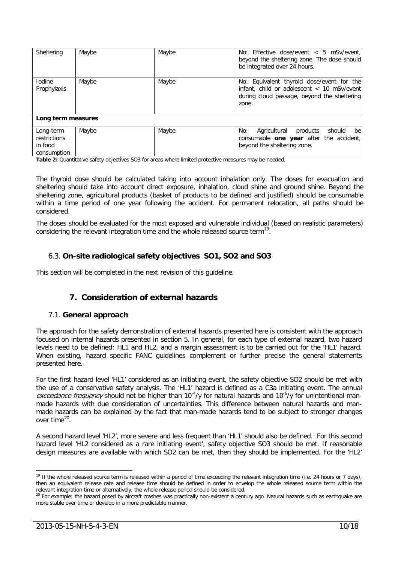| Sheltering                                          | Maybe | Maybe | No: Effective dose/event $< 5$ mSv/event,<br>beyond the sheltering zone. The dose should<br>be integrated over 24 hours.                        |
|-----------------------------------------------------|-------|-------|-------------------------------------------------------------------------------------------------------------------------------------------------|
| <b>Iodine</b><br>Prophylaxis                        | Maybe | Maybe | No: Equivalent thyroid dose/event for the<br>infant, child or adolescent < 10 mSv/event<br>during cloud passage, beyond the sheltering<br>zone. |
| Long term measures                                  |       |       |                                                                                                                                                 |
| Long-term<br>restrictions<br>in food<br>consumption | Maybe | Maybe | No:<br>Agricultural<br>products<br>should<br>be<br>consumable one year after the accident,<br>beyond the sheltering zone.                       |

**Table 2:** Quantitative safety objectives SO3 for areas where limited protective measures may be needed.

The thyroid dose should be calculated taking into account inhalation only. The doses for evacuation and sheltering should take into account direct exposure, inhalation, cloud shine and ground shine. Beyond the sheltering zone, agricultural products (basket of products to be defined and justified) should be consumable within a time period of one year following the accident. For permanent relocation, all paths should be considered.

The doses should be evaluated for the most exposed and vulnerable individual (based on realistic parameters) considering the relevant integration time and the whole released source term<sup>[19](#page-10-3)</sup>.

#### <span id="page-10-0"></span>6.3. **On-site radiological safety objectives SO1, SO2 and SO3**

This section will be completed in the next revision of this guideline.

## <span id="page-10-5"></span>**7. Consideration of external hazards**

#### <span id="page-10-2"></span><span id="page-10-1"></span>7.1. **General approach**

The approach for the safety demonstration of external hazards presented here is consistent with the approach focused on internal hazards presented in section [5.](#page-4-1) In general, for each type of external hazard, two hazard levels need to be defined: HL1 and HL2, and a margin assessment is to be carried out for the 'HL1' hazard. When existing, hazard specific FANC guidelines complement or further precise the general statements presented here.

For the first hazard level 'HL1' considered as an initiating event, the safety objective SO2 should be met with the use of a conservative safety analysis. The 'HL1' hazard is defined as a C3a initiating event. The annual exceedance frequency should not be higher than 10<sup>-4</sup>/y for natural hazards and 10<sup>-6</sup>/y for unintentional manmade hazards with due consideration of uncertainties. This difference between natural hazards and manmade hazards can be explained by the fact that man-made hazards tend to be subject to stronger changes over time<sup>[20](#page-10-4)</sup>.

A second hazard level 'HL2', more severe and less frequent than 'HL1' should also be defined. For this second hazard level 'HL2 considered as a rare initiating event', safety objective SO3 should be met. If reasonable design measures are available with which SO2 can be met, then they should be implemented. For the 'HL2'

<span id="page-10-3"></span><sup>&</sup>lt;sup>19</sup> If the whole released source term is released within a period of time exceeding the relevant integration time (i.e. 24 hours or 7 days), then an equivalent release rate and release time should be defined in order to envelop the whole released source term within the relevant integration time or alternatively, the whole release period should be considered.

<span id="page-10-4"></span><sup>&</sup>lt;sup>20</sup> For example: the hazard posed by aircraft crashes was practically non-existent a century ago. Natural hazards such as earthquake are more stable over time or develop in a more predictable manner.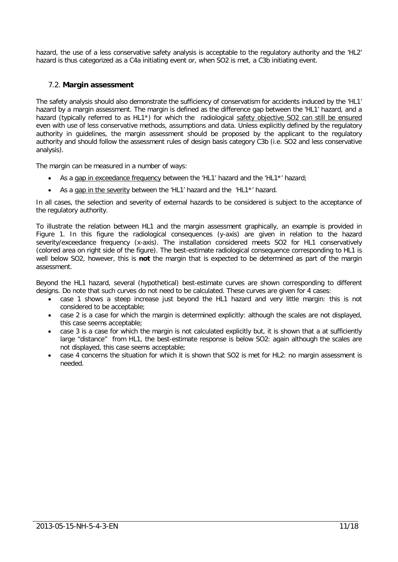hazard, the use of a less conservative safety analysis is acceptable to the regulatory authority and the 'HL2' hazard is thus categorized as a C4a initiating event or, when SO2 is met, a C3b initiating event.

#### <span id="page-11-0"></span>7.2. **Margin assessment**

The safety analysis should also demonstrate the sufficiency of conservatism for accidents induced by the 'HL1' hazard by a margin assessment. The margin is defined as the difference gap between the 'HL1' hazard, and a hazard (typically referred to as HL1<sup>\*</sup>) for which the radiological safety objective SO2 can still be ensured even with use of less conservative methods, assumptions and data. Unless explicitly defined by the regulatory authority in guidelines, the margin assessment should be proposed by the applicant to the regulatory authority and should follow the assessment rules of design basis category C3b (i.e. SO2 and less conservative analysis).

The margin can be measured in a number of ways:

- As a gap in exceedance frequency between the 'HL1' hazard and the 'HL1\*' hazard;
- As a gap in the severity between the 'HL1' hazard and the 'HL1\*' hazard.

In all cases, the selection and severity of external hazards to be considered is subject to the acceptance of the regulatory authority.

To illustrate the relation between HL1 and the margin assessment graphically, an example is provided in [Figure 1.](#page-12-3) In this figure the radiological consequences (y-axis) are given in relation to the hazard severity/exceedance frequency (x-axis). The installation considered meets SO2 for HL1 conservatively (colored area on right side of the figure). The best-estimate radiological consequence corresponding to HL1 is well below SO2, however, this is **not** the margin that is expected to be determined as part of the margin assessment.

Beyond the HL1 hazard, several (hypothetical) best-estimate curves are shown corresponding to different designs. Do note that such curves do not need to be calculated. These curves are given for 4 cases:

- case 1 shows a steep increase just beyond the HL1 hazard and very little margin: this is not considered to be acceptable;
- case 2 is a case for which the margin is determined explicitly: although the scales are not displayed, this case seems acceptable;
- case 3 is a case for which the margin is not calculated explicitly but, it is shown that a at sufficiently large "distance" from HL1, the best-estimate response is below SO2: again although the scales are not displayed, this case seems acceptable;
- case 4 concerns the situation for which it is shown that SO2 is met for HL2: no margin assessment is needed.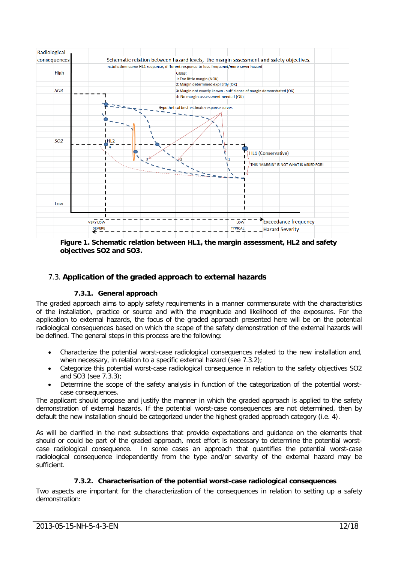

<span id="page-12-3"></span>**Figure 1. Schematic relation between HL1, the margin assessment, HL2 and safety objectives SO2 and SO3.**

#### <span id="page-12-1"></span><span id="page-12-0"></span>7.3. **Application of the graded approach to external hazards**

#### **7.3.1. General approach**

The graded approach aims to apply safety requirements in a manner commensurate with the characteristics of the installation, practice or source and with the magnitude and likelihood of the exposures. For the application to external hazards, the focus of the graded approach presented here will be on the potential radiological consequences based on which the scope of the safety demonstration of the external hazards will be defined. The general steps in this process are the following:

- Characterize the potential worst-case radiological consequences related to the new installation and, when necessary, in relation to a specific external hazard (see [7.3.2\)](#page-12-2);
- Categorize this potential worst-case radiological consequence in relation to the safety objectives SO2 and SO3 (see [7.3.3\)](#page-14-0);
- Determine the scope of the safety analysis in function of the categorization of the potential worstcase consequences.

The applicant should propose and justify the manner in which the graded approach is applied to the safety demonstration of external hazards. If the potential worst-case consequences are not determined, then by default the new installation should be categorized under the highest graded approach category (i.e. 4).

As will be clarified in the next subsections that provide expectations and guidance on the elements that should or could be part of the graded approach, most effort is necessary to determine the potential worstcase radiological consequence. In some cases an approach that quantifies the potential worst-case radiological consequence independently from the type and/or severity of the external hazard may be sufficient.

#### **7.3.2. Characterisation of the potential worst-case radiological consequences**

<span id="page-12-2"></span>Two aspects are important for the characterization of the consequences in relation to setting up a safety demonstration: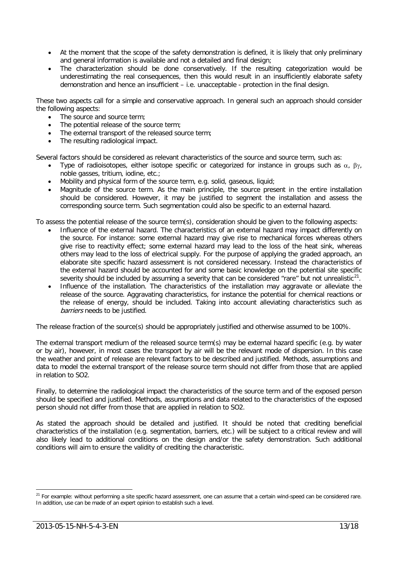- At the moment that the scope of the safety demonstration is defined, it is likely that only preliminary and general information is available and not a detailed and final design;
- The characterization should be done conservatively. If the resulting categorization would be underestimating the real consequences, then this would result in an insufficiently elaborate safety demonstration and hence an insufficient – i.e. unacceptable - protection in the final design.

These two aspects call for a simple and conservative approach. In general such an approach should consider the following aspects:

- The source and source term;
- The potential release of the source term;
- The external transport of the released source term;
- The resulting radiological impact.

Several factors should be considered as relevant characteristics of the source and source term, such as:

- Type of radioisotopes, either isotope specific or categorized for instance in groups such as  $\alpha$ , βγ, noble gasses, tritium, iodine, etc.;
- Mobility and physical form of the source term, e.g. solid, gaseous, liquid;
- Magnitude of the source term. As the main principle, the source present in the entire installation should be considered. However, it may be justified to segment the installation and assess the corresponding source term. Such segmentation could also be specific to an external hazard.

To assess the potential release of the source term(s), consideration should be given to the following aspects:

- Influence of the external hazard. The characteristics of an external hazard may impact differently on the source. For instance: some external hazard may give rise to mechanical forces whereas others give rise to reactivity effect; some external hazard may lead to the loss of the heat sink, whereas others may lead to the loss of electrical supply. For the purpose of applying the graded approach, an elaborate site specific hazard assessment is not considered necessary. Instead the characteristics of the external hazard should be accounted for and some basic knowledge on the potential site specific severity should be included by assuming a severity that can be considered "rare" but not unrealistic $^{21}$ .
- Influence of the installation. The characteristics of the installation may aggravate or alleviate the release of the source. Aggravating characteristics, for instance the potential for chemical reactions or the release of energy, should be included. Taking into account alleviating characteristics such as barriers needs to be justified.

The release fraction of the source(s) should be appropriately justified and otherwise assumed to be 100%.

The external transport medium of the released source term(s) may be external hazard specific (e.g. by water or by air), however, in most cases the transport by air will be the relevant mode of dispersion. In this case the weather and point of release are relevant factors to be described and justified. Methods, assumptions and data to model the external transport of the release source term should not differ from those that are applied in relation to SO2.

Finally, to determine the radiological impact the characteristics of the source term and of the exposed person should be specified and justified. Methods, assumptions and data related to the characteristics of the exposed person should not differ from those that are applied in relation to SO2.

As stated the approach should be detailed and justified. It should be noted that crediting beneficial characteristics of the installation (e.g. segmentation, barriers, etc.) will be subject to a critical review and will also likely lead to additional conditions on the design and/or the safety demonstration. Such additional conditions will aim to ensure the validity of crediting the characteristic.

<span id="page-13-0"></span><sup>&</sup>lt;sup>21</sup> For example: without performing a site specific hazard assessment, one can assume that a certain wind-speed can be considered rare. In addition, use can be made of an expert opinion to establish such a level.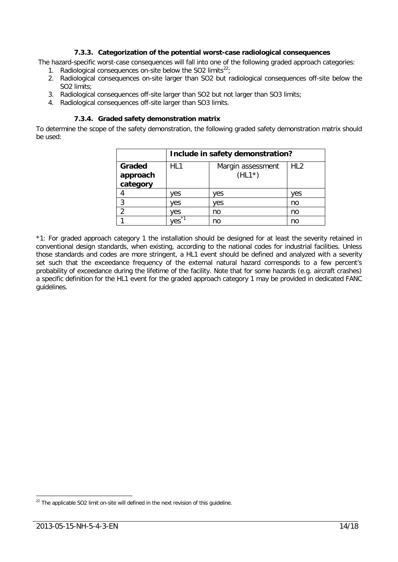#### **7.3.3. Categorization of the potential worst-case radiological consequences**

<span id="page-14-0"></span>The hazard-specific worst-case consequences will fall into one of the following graded approach categories:

- 1. Radiological consequences on-site below the SO2 limits $^{22}$  $^{22}$  $^{22}$ ;
- 2. Radiological consequences on-site larger than SO2 but radiological consequences off-site below the SO2 limits;
- 3. Radiological consequences off-site larger than SO2 but not larger than SO3 limits;
- <span id="page-14-1"></span>4. Radiological consequences off-site larger than SO3 limits.

#### **7.3.4. Graded safety demonstration matrix**

To determine the scope of the safety demonstration, the following graded safety demonstration matrix should be used:

|                                | Include in safety demonstration? |                               |                 |
|--------------------------------|----------------------------------|-------------------------------|-----------------|
| Graded<br>approach<br>category | HL1                              | Margin assessment<br>$(HL1*)$ | HL <sub>2</sub> |
|                                | ves                              | ves                           | ves             |
| 3                              | ves                              | ves                           | no              |
| າ                              | ves                              | no                            | no              |
|                                | $*1$<br>es.                      | no                            | no              |

\*1: For graded approach category 1 the installation should be designed for at least the severity retained in conventional design standards, when existing, according to the national codes for industrial facilities. Unless those standards and codes are more stringent, a HL1 event should be defined and analyzed with a severity set such that the exceedance frequency of the external natural hazard corresponds to a few percent's probability of exceedance during the lifetime of the facility. Note that for some hazards (e.g. aircraft crashes) a specific definition for the HL1 event for the graded approach category 1 may be provided in dedicated FANC guidelines.

<span id="page-14-2"></span> $22$  The applicable SO2 limit on-site will defined in the next revision of this quideline.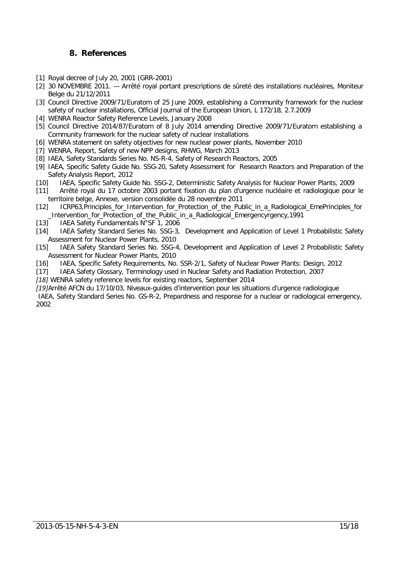## **8. References**

- <span id="page-15-1"></span><span id="page-15-0"></span>[1] Royal decree of July 20, 2001 (GRR-2001)
- <span id="page-15-2"></span>[2] 30 NOVEMBRE 2011. — Arrêté royal portant prescriptions de sûreté des installations nucléaires, Moniteur Belge du 21/12/2011
- <span id="page-15-3"></span>[3] Council Directive 2009/71/Euratom of 25 June 2009, establishing a Community framework for the nuclear safety of nuclear installations, Official Journal of the European Union, L 172/18, 2.7.2009
- <span id="page-15-4"></span>[4] WENRA Reactor Safety Reference Levels, January 2008
- <span id="page-15-5"></span>[5] Council Directive 2014/87/Euratom of 8 July 2014 amending Directive 2009/71/Euratom establishing a Community framework for the nuclear safety of nuclear installations
- <span id="page-15-6"></span>[6] [WENRA statement on safety objectives for new nuclear power plants, November 2010](http://www.wenra.org/dynamaster/file_archive/101112/2b2222163f90f88a272b3112b35b83ce/WENRA_StatementOnSafetyObjectivesForNewNuclearPowerPlants_Nov2010.pdf)
- <span id="page-15-7"></span>[7] WENRA, Report, Safety of new NPP designs, RHWG, March 2013
- <span id="page-15-9"></span>[8] IAEA, Safety Standards Series No. NS-R-4, Safety of Research Reactors, 2005
- <span id="page-15-10"></span>[9] IAEA, Specific Safety Guide No. SSG-20, Safety Assessment for Research Reactors and Preparation of the Safety Analysis Report, 2012
- <span id="page-15-11"></span>[10] IAEA, Specific Safety Guide No. SSG-2, Deterministic Safety Analysis for Nuclear Power Plants, 2009
- <span id="page-15-18"></span>[11] Arrêté royal du 17 octobre 2003 portant fixation du plan d'urgence nucléaire et radiologique pour le territoire belge, Annexe, version consolidée du 28 novembre 2011
- <span id="page-15-16"></span>[12] ICRP63,Principles\_for\_Intervention\_for\_Protection\_of\_the\_Public\_in\_a\_Radiological\_EmePrinciples\_for \_Intervention\_for\_Protection\_of\_the\_Public\_in\_a\_Radiological\_Emergencyrgency,1991
- <span id="page-15-12"></span>[13] IAEA Safety Fundamentals N°SF 1, 2006
- <span id="page-15-13"></span>[14] IAEA Safety Standard Series No. SSG-3, Development and Application of Level 1 Probabilistic Safety Assessment for Nuclear Power Plants, 2010
- <span id="page-15-14"></span>[15] IAEA Safety Standard Series No. SSG-4, Development and Application of Level 2 Probabilistic Safety Assessment for Nuclear Power Plants, 2010
- <span id="page-15-15"></span>[16] IAEA, Specific Safety Requirements, No. SSR-2/1, Safety of Nuclear Power Plants: Design, 2012
- <span id="page-15-19"></span>[17] IAEA Safety Glossary, Terminology used in Nuclear Safety and Radiation Protection, 2007
- <span id="page-15-8"></span>*[18]* WENRA safety reference levels for existing reactors, September 2014

*[19]*Arrêté AFCN du 17/10/03, Niveaux-guides d'intervention pour les situations d'urgence radiologique

<span id="page-15-17"></span>IAEA, Safety Standard Series No. GS-R-2, Prepardness and response for a nuclear or radiological emergency, 2002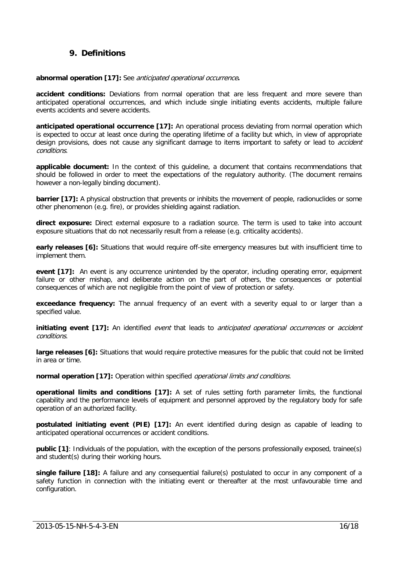## **9. Definitions**

#### <span id="page-16-0"></span>**abnormal operation [\[17\]:](#page-15-19)** See anticipated operational occurrence**.**

**accident conditions:** Deviations from normal operation that are less frequent and more severe than anticipated operational occurrences, and which include single initiating events accidents, multiple failure events accidents and severe accidents.

**anticipated operational occurrence [\[17\]:](#page-15-19)** An operational process deviating from normal operation which is expected to occur at least once during the operating lifetime of a facility but which, in view of appropriate design provisions, does not cause any significant damage to items important to safety or lead to *accident* conditions.

**applicable document:** In the context of this guideline, a document that contains recommendations that should be followed in order to meet the expectations of the regulatory authority. (The document remains however a non-legally binding document).

**barrier [\[17\]:](#page-15-19)** A physical obstruction that prevents or inhibits the movement of people, radionuclides or some other phenomenon (e.g. fire), or provides shielding against radiation.

**direct exposure:** Direct external exposure to a radiation source. The term is used to take into account exposure situations that do not necessarily result from a release (e.g. criticality accidents).

**early releases [\[6\]:](#page-15-6)** Situations that would require off-site emergency measures but with insufficient time to implement them.

**event [\[17\]:](#page-15-19)** An event is any occurrence unintended by the operator, including operating error, equipment failure or other mishap, and deliberate action on the part of others, the consequences or potential consequences of which are not negligible from the point of view of protection or safety.

**exceedance frequency:** The annual frequency of an event with a severity equal to or larger than a specified value.

**initiating event [\[17\]:](#page-15-19)** An identified event that leads to anticipated operational occurrences or accident conditions.

**large releases [\[6\]:](#page-15-6)** Situations that would require protective measures for the public that could not be limited in area or time.

**normal operation** [\[17\]:](#page-15-19) Operation within specified *operational limits and conditions.* 

**operational limits and conditions [\[17\]:](#page-15-19)** A set of rules setting forth parameter limits, the functional capability and the performance levels of equipment and personnel approved by the regulatory body for safe operation of an authorized facility.

**postulated initiating event (PIE) [\[17\]:](#page-15-19)** An event identified during design as capable of leading to anticipated operational occurrences or accident conditions.

**public [\[1\]](#page-15-1)**: Individuals of the population, with the exception of the persons professionally exposed, trainee(s) and student(s) during their working hours.

**single failure [\[18\]:](#page-15-8)** A failure and any consequential failure(s) postulated to occur in any component of a safety function in connection with the initiating event or thereafter at the most unfavourable time and configuration.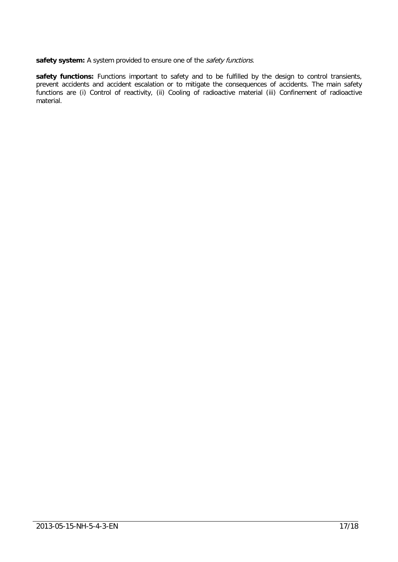safety system: A system provided to ensure one of the *safety functions*.

**safety functions:** Functions important to safety and to be fulfilled by the design to control transients, prevent accidents and accident escalation or to mitigate the consequences of accidents. The main safety functions are (i) Control of reactivity, (ii) Cooling of radioactive material (iii) Confinement of radioactive material.